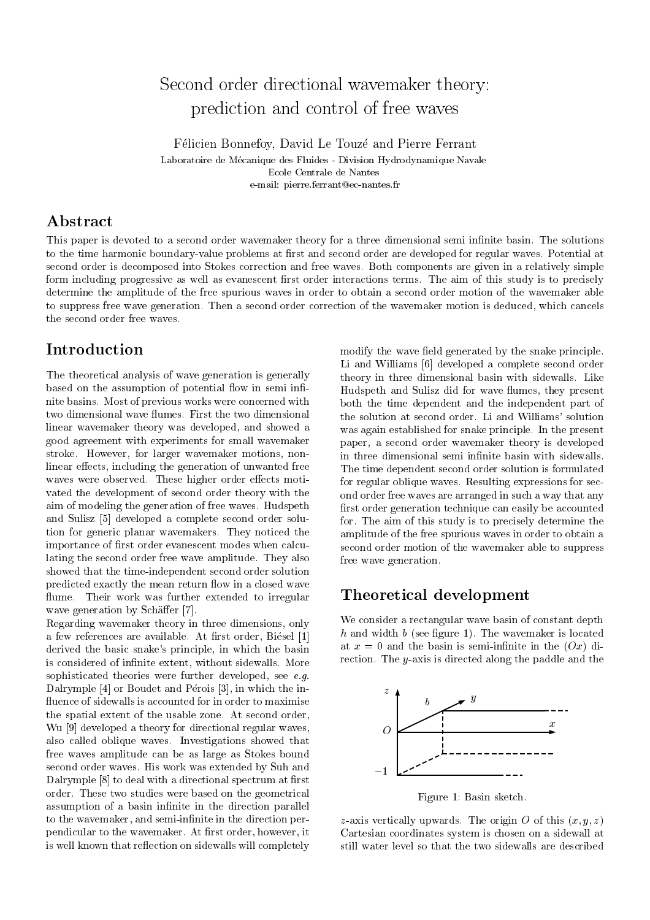# Second order directional wavemaker theory: prediction and control of free waves

Felicien Bonnefoy, David Le Touze and Pierre Ferrant

Laboratoire de Mecanique des Fluides - Division Hydrodynamique Navale Ecole Centrale de Nantes e-mail: pierre.ferrant@ec-nantes.fr

## Abstract

This paper is devoted to a second order wavemaker theory for a three dimensional semi infinite basin. The solutions to the time harmonic boundary-value problems at first and second order are developed for regular waves. Potential at second order is decomposed into Stokes correction and free waves. Both components are given in a relatively simple form including progressive as well as evanescent first order interactions terms. The aim of this study is to precisely determine the amplitude of the free spurious waves in order to obtain a second order motion of the wavemaker able to suppress free wave generation. Then a second order correction of the wavemaker motion is deduced, which cancels the second order free waves.

## **Introduction**

The theoretical analysis of wave generation is generally based on the assumption of potential flow in semi infinite basins. Most of previous works were concerned with two dimensional wave flumes. First the two dimensional linear wavemaker theory was developed, and showed a good agreement with experiments for small wavemaker stroke. However, for larger wavemaker motions, nonlinear effects, including the generation of unwanted free waves were observed. These higher order effects motivated the development of second order theory with the aim of modeling the generation of free waves. Hudspeth and Sulisz [5] developed a complete second order solution for generic planar wavemakers. They noticed the importance of first order evanescent modes when calculating the second order free wave amplitude. They also showed that the time-independent second order solution predicted exactly the mean return flow in a closed wave flume. Their work was further extended to irregular wave generation by Schäffer [7].

Regarding wavemaker theory in three dimensions, only a few references are available. At first order, Biésel [1] derived the basic snake's principle, in which the basin is considered of infinite extent, without sidewalls. More sophisticated theories were further developed, see  $e.g.$ Dalrymple [4] or Boudet and Pérois [3], in which the influence of sidewalls is accounted for in order to maximise the spatial extent of the usable zone. At second order, Wu [9] developed a theory for directional regular waves, also called oblique waves. Investigations showed that free waves amplitude can be as large as Stokes bound second order waves. His work was extended by Suh and Dalrymple [8] to deal with a directional spectrum at first order. These two studies were based on the geometrical assumption of a basin infinite in the direction parallel to the wavemaker, and semi-infinite in the direction perpendicular to the wavemaker. At first order, however, it is well known that reflection on sidewalls will completely

modify the wave field generated by the snake principle. Li and Williams [6] developed a complete second order theory in three dimensional basin with sidewalls. Like Hudspeth and Sulisz did for wave flumes, they present both the time dependent and the independent part of the solution at second order. Li and Williams' solution was again established for snake principle. In the present paper, a second order wavemaker theory is developed in three dimensional semi infinite basin with sidewalls. The time dependent second order solution is formulated for regular oblique waves. Resulting expressions for second order free waves are arranged in such a way that any first order generation technique can easily be accounted for. The aim of this study is to precisely determine the amplitude of the free spurious waves in order to obtain a second order motion of the wavemaker able to suppress free wave generation.

## Theoretical development

We consider a rectangular wave basin of constant depth  $h$  and width  $b$  (see figure 1). The wavemaker is located at  $x = 0$  and the basin is semi-infinite in the  $(Ox)$  direction. The y-axis is directed along the paddle and the



Figure 1: Basin sketch.

z-axis vertically upwards. The origin O of this  $(x, y, z)$ Cartesian coordinates system is chosen on a sidewall at still water level so that the two sidewalls are described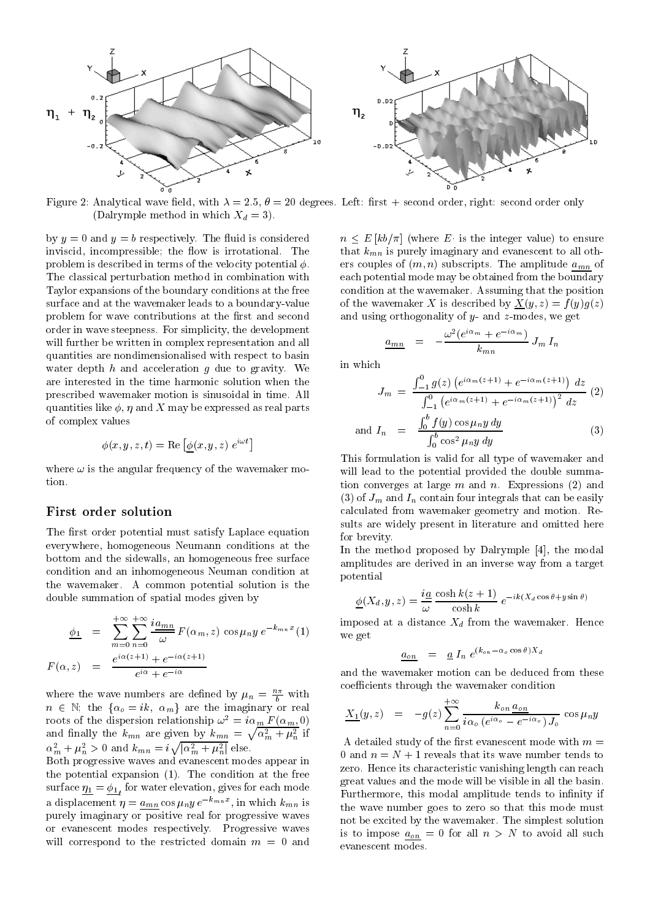

Figure 2: Analytical wave field, with  $\lambda = 2.5$ ,  $\theta = 20$  degrees. Left: first + second order, right: second order only (Dalrymple method in which  $X_d = 3$ ).

by  $y = 0$  and  $y = b$  respectively. The fluid is considered inviscid, incompressible; the flow is irrotational. The problem is described in terms of the velocity potential  $\phi$ . The classical perturbation method in combination with Taylor expansions of the boundary conditions at the free surface and at the wavemaker leads to a boundary-value problem for wave contributions at the first and second order in wave steepness. For simplicity, the development will further be written in complex representation and all quantities are nondimensionalised with respect to basin water depth  $h$  and acceleration  $g$  due to gravity. We are interested in the time harmonic solution when the prescribed wavemaker motion is sinusoidal in time. All quantities like  $\phi$ ,  $\eta$  and X may be expressed as real parts of complex values

$$
\phi(x,y,z,t) = \text{Re}\left[\phi(x,y,z) \; e^{i\omega t}\right]
$$

where  $\omega$  is the angular frequency of the wavemaker motion.

### First order solution

The first order potential must satisfy Laplace equation  $\frac{\text{SUSY}}{\text{for brevity}}$ . everywhere, homogeneous Neumann conditions at the bottom and the sidewalls, an homogeneous free surface condition and an inhomogeneous Neuman condition at the wavemaker. A common potential solution is the double summation of spatial modes given by

$$
\frac{\phi_1}{F(\alpha, z)} = \sum_{m=0}^{+\infty} \sum_{n=0}^{+\infty} \frac{i a_{mn}}{\omega} F(\alpha_m, z) \cos \mu_n y e^{-k_{mn} x} (1)
$$
\n
$$
F(\alpha, z) = \frac{e^{i\alpha(z+1)} + e^{-i\alpha(z+1)}}{e^{i\alpha} + e^{-i\alpha}}
$$

where the wave numbers are defined by  $\mu_n = \frac{1}{b}$  with  $n \in \mathbb{N}$ ; the  $\{\alpha_o = ik, \alpha_m\}$  are the imaginary or real roots of the dispersion relationship  $\omega^2 = i\alpha_m F(\alpha_m, 0)$ <br>and finally the  $k_{mn}$  are given by  $k_{mn} = \sqrt{\alpha_m^2 + \mu_n^2}$  if<br> $\alpha_m^2 + \mu_n^2 > 0$  and  $k_{mn} = i\sqrt{|\alpha_m^2 + \mu_n^2|}$  else.

Both progressive waves and evanescent modes appear in the potential expansion (1). The condition at the free surface 1 <sup>=</sup> 1 for water elevation, gives for each mode a displacement  $\eta = a_{mn} \cos \mu_n y e^{-k_{mn}x}$ , in which  $k_{mn}$  is purely imaginary or positive real for progressive waves or evanescent modes respectively. Progressive waves will correspond to the restricted domain  $m = 0$  and

 $n \leq E [kb/\pi]$  (where E is the integer value) to ensure that  $k_{mn}$  is purely imaginary and evanescent to all others couples of  $(m, n)$  subscripts. The amplitude  $a_{mn}$  of each potential mode may be obtained from the boundary condition at the wavemaker. Assuming that the position of the wavemaker X is described by  $X(y, z) = f(y)g(z)$ and using orthogonality of  $y$ - and  $z$ -modes, we get

$$
\frac{a_{mn}}{m} = -\frac{\omega^2(e^{i\alpha_m}+e^{-i\alpha_m})}{k_{mn}} J_m I_n
$$

in which

$$
J_m = \frac{\int_{-1}^{0} g(z) \left(e^{i\alpha_m(z+1)} + e^{-i\alpha_m(z+1)}\right) dz}{\int_{-1}^{0} \left(e^{i\alpha_m(z+1)} + e^{-i\alpha_m(z+1)}\right)^2 dz}
$$
 (2)  
and  $I_n = \frac{\int_{0}^{b} f(y) \cos \mu_n y dy}{\int_{0}^{b} \cos^2 \mu_n y dy}$  (3)

This formulation is valid for all type of wavemaker and will lead to the potential provided the double summation converges at large  $m$  and  $n$ . Expressions  $(2)$  and (3) of  $J_m$  and  $I_n$  contain four integrals that can be easily calculated from wavemaker geometry and motion. Results are widely present in literature and omitted here for brevity. The contract of the contract of the contract of the contract of the contract of the contract of the contract of the contract of the contract of the contract of the contract of the contract of the contract of t

In the method proposed by Dalrymple [4], the modal amplitudes are derived in an inverse way from a target potential

$$
\underline{\phi}(X_d, y, z) = \frac{ia}{\omega} \frac{\cosh k(z+1)}{\cosh k} e^{-ik(X_d \cos \theta + y \sin \theta)}
$$

imposed at a distance  $X_d$  from the wavemaker. Hence we get

$$
a_{on} = \underline{a} I_n e^{(k_{on} - \alpha_o \cos \theta) X_d}
$$

and the wavemaker motion can be deduced from these coefficients through the wavemaker condition

$$
\underline{X_1}(y,z) = -g(z) \sum_{n=0}^{+\infty} \frac{k_{on} a_{on}}{i\alpha_o (e^{i\alpha_o} - e^{-i\alpha_o}) J_o} \cos \mu_n y
$$

A detailed study of the first evanescent mode with  $m =$ 0 and  $n = N + 1$  reveals that its wave number tends to zero. Hence its characteristic vanishing length can reach great values and the mode will be visible in all the basin. Furthermore, this modal amplitude tends to infinity if the wave number goes to zero so that this mode must not be excited by the wavemaker. The simplest solution is to impose  $a_{on} = 0$  for all  $n > N$  to avoid all such evanescent modes.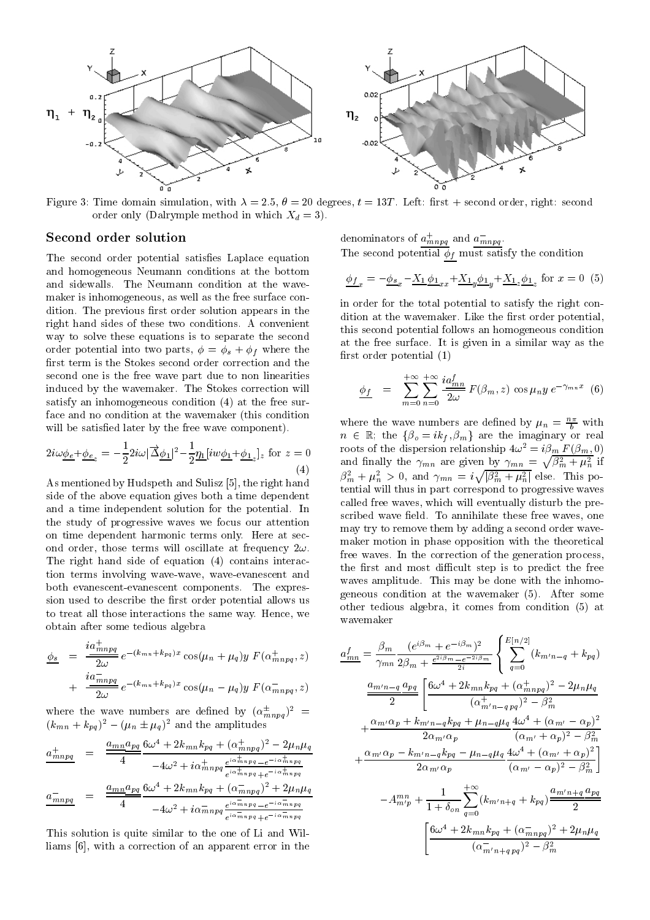

Figure 3: Time domain simulation, with  $\lambda = 2.5$ ,  $\theta = 20$  degrees,  $t = 13T$ . Left: first + second order, right: second order only (Dalrymple method in which  $X_d = 3$ ).

#### Second order solution

The second order potential satisfies Laplace equation and homogeneous Neumann conditions at the bottom and sidewalls. The Neumann condition at the wavemaker is inhomogeneous, as well as the free surface condition. The previous first order solution appears in the right hand sides of these two conditions. A convenient way to solve these equations is to separate the second order potential into two parts,  $\phi = \phi_s + \phi_f$  where the first term is the Stokes second order correction and the second one is the free wave part due to non linearities induced by the wavemaker. The Stokes correction will satisfy an inhomogeneous condition (4) at the free surface and no condition at the wavemaker (this condition will be satisfied later by the free wave component).

$$
2i\omega \underline{\phi_e} + \underline{\phi_e}_z = -\frac{1}{2} 2i\omega |\overrightarrow{\Delta} \underline{\phi_1}|^2 - \frac{1}{2} \underline{\eta_1} [iw \underline{\phi_1} + \underline{\phi_1}_z]_z \text{ for } z = 0
$$
\n(4)

As mentioned by Hudspeth and Sulisz [5], the right hand side of the above equation gives both a time dependent and a time independent solution for the potential. In the study of progressive waves we focus our attention on time dependent harmonic terms only. Here at second order, those terms will oscillate at frequency  $2\omega$ . The right hand side of equation (4) contains interaction terms involving wave-wave, wave-evanescent and both evanescent-evanescent components. The expression used to describe the first order potential allows us to treat all those interactions the same way. Hence, we wavemaker obtain after some tedious algebra

$$
\frac{\phi_s}{\phi_s} = \frac{i a_{mnpq}^{\perp}}{2\omega} e^{-(k_{mn} + k_{pq})x} \cos(\mu_n + \mu_q) y F(\alpha_{mnpq}^+, z)
$$

$$
+ \frac{i a_{mnpq}^{\perp}}{2\omega} e^{-(k_{mn} + k_{pq})x} \cos(\mu_n - \mu_q) y F(\alpha_{mnpq}^-, z)
$$

 $\Delta \sim 0$ 

where the wave numbers are defined by  $(\alpha_{mnpq}^2)^2$  =  $(k_{mn} + k_{pa})^2 - (\mu_n \pm \mu_q)^2$  and the amplitudes

$$
\frac{a_{mnpq}^{+}}{4} = \frac{\frac{a_{mn}a_{pq}}{4} \frac{6\omega^{4} + 2k_{mn}k_{pq} + (\alpha_{mnpq}^{+})^{2} - 2\mu_{n}\mu_{q}}{-4\omega^{2} + i\alpha_{mnpq}^{+} e^{\frac{i\alpha_{mnpq}^{+}}{4} - e^{-i\alpha_{mnpq}^{+}}}}
$$
\n
$$
\frac{a_{mnpq}^{-}}{4} = \frac{\frac{a_{mn}a_{pq}}{4} \frac{6\omega^{4} + 2k_{mn}k_{pq} + (\alpha_{mnpq}^{-})^{2} + 2\mu_{n}\mu_{q}}{-4\omega^{2} + i\alpha_{mnpq}^{-} e^{\frac{i\alpha_{mnpq}}{4} - e^{-i\alpha_{mnpq}^{-}}}}
$$

This solution is quite similar to the one of Li and Williams [6], with a correction of an apparent error in the denominators of  $a_{mnpq}$  and  $a_{mnpq}$  . The second potential f must satisfy the condition  $\eta$  of  $\eta$  and  $\eta$  and  $\eta$  and  $\eta$  and  $\eta$  and  $\eta$  and  $\eta$  and  $\eta$  and  $\eta$  and  $\eta$  and  $\eta$  and  $\eta$  and  $\eta$  and  $\eta$  and  $\eta$  and  $\eta$  and  $\eta$  and  $\eta$  and

$$
\underline{\phi_{f}}_{x} = -\underline{\phi_{s}}_{x} - \underline{X_{1}} \underline{\phi_{1}}_{xx} + \underline{X_{1}}_{y} \underline{\phi_{1}}_{y} + \underline{X_{1}}_{z} \underline{\phi_{1}}_{z} \text{ for } x = 0 \tag{5}
$$

in order for the total potential to satisfy the right condition at the wavemaker. Like the first order potential, this second potential follows an homogeneous condition at the free surface. It is given in a similar way as the first order potential  $(1)$ 

$$
\underline{\phi_f} = \sum_{m=0}^{+\infty} \sum_{n=0}^{+\infty} \frac{i a_{mn}^f}{2\omega} F(\beta_m, z) \cos \mu_n y e^{-\gamma_{mn} x}
$$
(6)

and finally the  $\gamma_{mn}$  are given by  $\gamma_{mn} = \sqrt{\beta_m^2 + \mu_n^2}$  if<br>  $\beta_m^2 + \mu_n^2 > 0$ , and  $\gamma_{mn} = i \sqrt{|\beta_m^2 + \mu_n^2|}$  else. This powhere the wave numbers are defined by  $\mu_n = \frac{1}{b}$  with  $n \in \mathbb{R}$ ; the  $\{\beta_o = ik_f, \beta_m\}$  are the imaginary or real roots of the dispersion relationship  $4\omega^2 = i\beta_m F(\beta_m, 0)$ tential will thus in part correspond to progressive waves called free waves, which will eventually disturb the prescribed wave field. To annihilate these free waves, one may try to remove them by adding a second order wavemaker motion in phase opposition with the theoretical free waves. In the correction of the generation process, the first and most difficult step is to predict the free waves amplitude. This may be done with the inhomogeneous condition at the wavemaker (5). After some other tedious algebra, it comes from condition (5) at

$$
\frac{a_{mn}^{f}}{a_{mn}} = \frac{\beta_m}{\gamma_{mn}} \frac{(e^{i\beta_m} + e^{-i\beta_m})^2}{2\beta_m + \frac{e^{2i\beta_m} - e^{-2i\beta_m}}{2i}} \left\{ \sum_{q=0}^{E[n/2]} (k_{m'n-q} + k_{pq}) \right\}
$$

$$
\frac{a_{m'n-q}}{2} \frac{a_{pq}}{2} \left[ \frac{6\omega^4 + 2k_{mn}k_{pq} + (\alpha_{mnpq}^+)^2 - 2\mu_n\mu_q}{(\alpha_{m'n-qpq}^+)^2 - \beta_m^2} + \frac{\alpha_{m'}\alpha_p + k_{m'n-q}k_{pq} + \mu_{n-q}\mu_q}{2\alpha_{m'}\alpha_p} \frac{4\omega^4 + (\alpha_{m'} - \alpha_p)^2}{(\alpha_{m'} + \alpha_p)^2 - \beta_m^2} + \frac{\alpha_{m'}\alpha_p - k_{m'n-q}k_{pq} - \mu_{n-q}\mu_q}{2\alpha_{m'}\alpha_p} \frac{4\omega^4 + (\alpha_{m'} + \alpha_p)^2}{(\alpha_{m'} - \alpha_p)^2 - \beta_m^2} \right]
$$

$$
-A_{m'p}^{mn} + \frac{1}{1 + \delta_{on}} \sum_{q=0}^{+\infty} (k_{m'n+q} + k_{pq}) \frac{a_{m'n+q}}{2} \frac{a_{pq}}{2}
$$

$$
\left[ \frac{6\omega^4 + 2k_{mn}k_{pq} + (\alpha_{mnpq}^-)^2 + 2\mu_n\mu_q}{(\alpha_{m'n+qpq}^-)^2 - \beta_m^2} \right]
$$